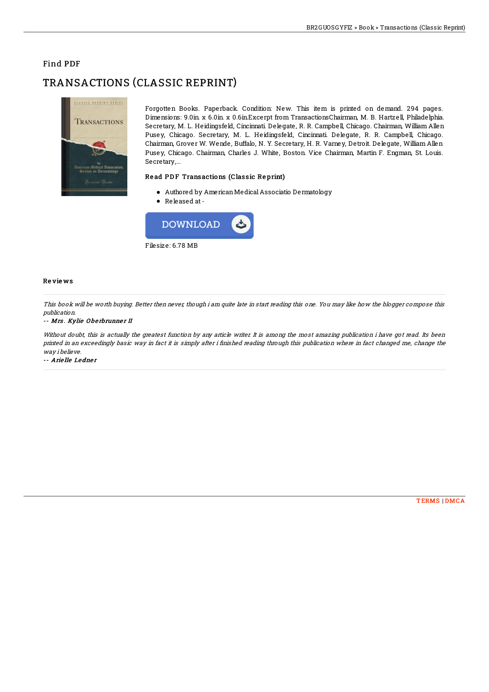## Find PDF

# TRANSACTIONS (CLASSIC REPRINT)



Forgotten Books. Paperback. Condition: New. This item is printed on demand. 294 pages. Dimensions: 9.0in. x 6.0in. x 0.6in.Excerpt from TransactionsChairman, M. B. Hartzell, Philadelphia. Secretary, M. L. Heidingsfeld, Cincinnati. Delegate, R. R. Campbell, Chicago. Chairman, William Allen Pusey, Chicago. Secretary, M. L. Heidingsfeld, Cincinnati. Delegate, R. R. Campbell, Chicago. Chairman, Grover W. Wende, Buffalo, N. Y. Secretary, H. R. Varney, Detroit. Delegate, William Allen Pusey, Chicago. Chairman, Charles J. White, Boston. Vice Chairman, Martin F. Engman, St. Louis. Secretary,...

### Read PDF Transactions (Classic Reprint)

- Authored by AmericanMedicalAssociatio Dermatology
- Released at-



#### Re vie ws

This book will be worth buying. Better then never, though i am quite late in start reading this one. You may like how the blogger compose this publication.

#### -- Mrs. Kylie Oberbrunner II

Without doubt, this is actually the greatest function by any article writer. It is among the most amazing publication i have got read. Its been printed in an exceedingly basic way in fact it is simply after i finished reading through this publication where in fact changed me, change the way i believe.

-- Arielle Ledner